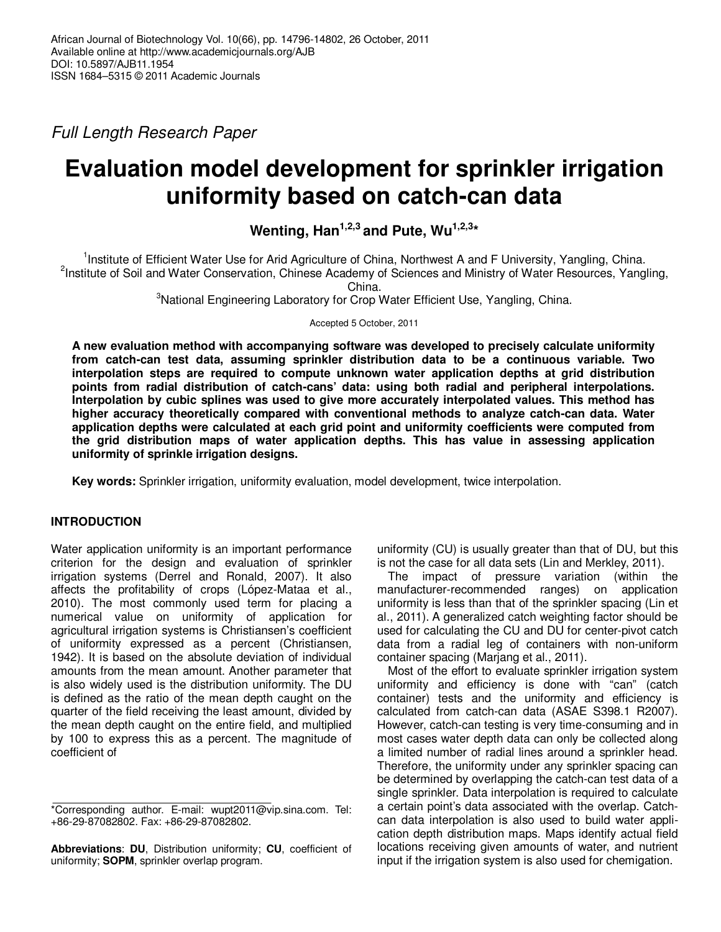Full Length Research Paper

# **Evaluation model development for sprinkler irrigation uniformity based on catch-can data**

**Wenting, Han1,2,3 and Pute, Wu1,2,3\*** 

<sup>1</sup>Institute of Efficient Water Use for Arid Agriculture of China, Northwest A and F University, Yangling, China. <sup>2</sup>Institute of Soil and Water Conservation, Chinese Academy of Sciences and Ministry of Water Resources, Yangling,

China.

<sup>3</sup>National Engineering Laboratory for Crop Water Efficient Use, Yangling, China.

Accepted 5 October, 2011

**A new evaluation method with accompanying software was developed to precisely calculate uniformity from catch-can test data, assuming sprinkler distribution data to be a continuous variable. Two interpolation steps are required to compute unknown water application depths at grid distribution points from radial distribution of catch-cans' data: using both radial and peripheral interpolations. Interpolation by cubic splines was used to give more accurately interpolated values. This method has higher accuracy theoretically compared with conventional methods to analyze catch-can data. Water application depths were calculated at each grid point and uniformity coefficients were computed from the grid distribution maps of water application depths. This has value in assessing application uniformity of sprinkle irrigation designs.** 

**Key words:** Sprinkler irrigation, uniformity evaluation, model development, twice interpolation.

## **INTRODUCTION**

Water application uniformity is an important performance criterion for the design and evaluation of sprinkler irrigation systems (Derrel and Ronald, 2007). It also affects the profitability of crops (López-Mataa et al., 2010). The most commonly used term for placing a numerical value on uniformity of application for agricultural irrigation systems is Christiansen's coefficient of uniformity expressed as a percent (Christiansen, 1942). It is based on the absolute deviation of individual amounts from the mean amount. Another parameter that is also widely used is the distribution uniformity. The DU is defined as the ratio of the mean depth caught on the quarter of the field receiving the least amount, divided by the mean depth caught on the entire field, and multiplied by 100 to express this as a percent. The magnitude of coefficient of

**Abbreviations**: **DU**, Distribution uniformity; **CU**, coefficient of uniformity; **SOPM**, sprinkler overlap program.

uniformity (CU) is usually greater than that of DU, but this is not the case for all data sets (Lin and Merkley, 2011).

The impact of pressure variation (within the manufacturer-recommended ranges) on application uniformity is less than that of the sprinkler spacing (Lin et al., 2011). A generalized catch weighting factor should be used for calculating the CU and DU for center-pivot catch data from a radial leg of containers with non-uniform container spacing (Marjang et al., 2011).

Most of the effort to evaluate sprinkler irrigation system uniformity and efficiency is done with "can" (catch container) tests and the uniformity and efficiency is calculated from catch-can data (ASAE S398.1 R2007). However, catch-can testing is very time-consuming and in most cases water depth data can only be collected along a limited number of radial lines around a sprinkler head. Therefore, the uniformity under any sprinkler spacing can be determined by overlapping the catch-can test data of a single sprinkler. Data interpolation is required to calculate a certain point's data associated with the overlap. Catchcan data interpolation is also used to build water application depth distribution maps. Maps identify actual field locations receiving given amounts of water, and nutrient input if the irrigation system is also used for chemigation.

<sup>\*</sup>Corresponding author. E-mail: wupt2011@vip.sina.com. Tel: +86-29-87082802. Fax: +86-29-87082802.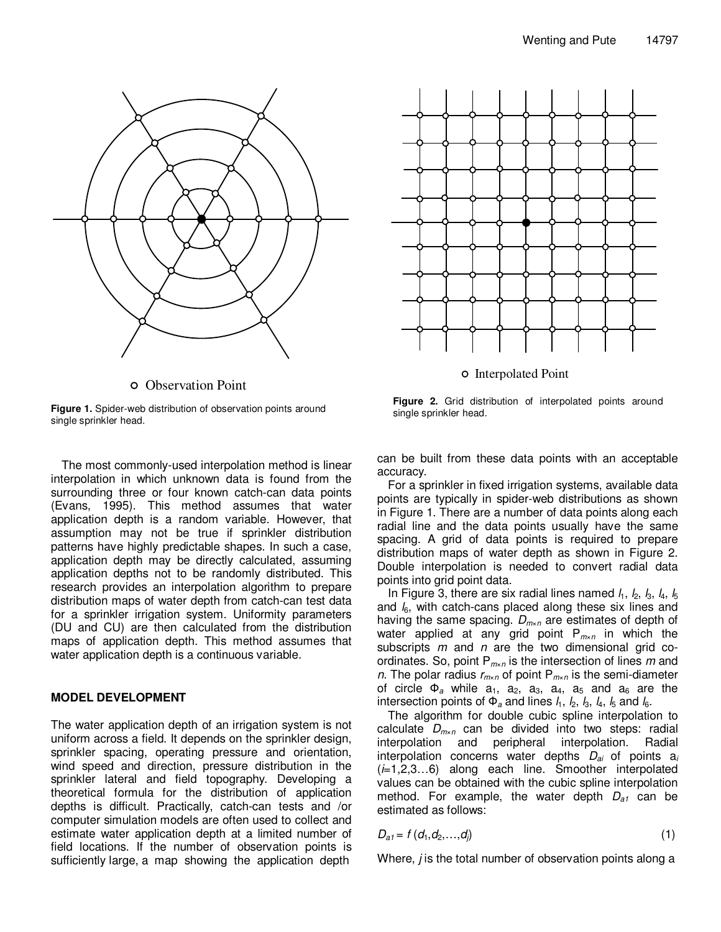

Observation Point



The most commonly-used interpolation method is linear interpolation in which unknown data is found from the surrounding three or four known catch-can data points (Evans, 1995). This method assumes that water application depth is a random variable. However, that assumption may not be true if sprinkler distribution patterns have highly predictable shapes. In such a case, application depth may be directly calculated, assuming application depths not to be randomly distributed. This research provides an interpolation algorithm to prepare distribution maps of water depth from catch-can test data for a sprinkler irrigation system. Uniformity parameters (DU and CU) are then calculated from the distribution maps of application depth. This method assumes that water application depth is a continuous variable.

### **MODEL DEVELOPMENT**

The water application depth of an irrigation system is not uniform across a field. It depends on the sprinkler design, sprinkler spacing, operating pressure and orientation, wind speed and direction, pressure distribution in the sprinkler lateral and field topography. Developing a theoretical formula for the distribution of application depths is difficult. Practically, catch-can tests and /or computer simulation models are often used to collect and estimate water application depth at a limited number of field locations. If the number of observation points is sufficiently large, a map showing the application depth



Interpolated Point

**Figure 2.** Grid distribution of interpolated points around single sprinkler head.

can be built from these data points with an acceptable accuracy.

For a sprinkler in fixed irrigation systems, available data points are typically in spider-web distributions as shown in Figure 1. There are a number of data points along each radial line and the data points usually have the same spacing. A grid of data points is required to prepare distribution maps of water depth as shown in Figure 2. Double interpolation is needed to convert radial data points into grid point data.

In Figure 3, there are six radial lines named  $l_1$ ,  $l_2$ ,  $l_3$ ,  $l_4$ ,  $l_5$ and  $l_6$ , with catch-cans placed along these six lines and having the same spacing.  $D_{m \times n}$  are estimates of depth of water applied at any grid point  $P_{m \times n}$  in which the subscripts  $m$  and  $n$  are the two dimensional grid coordinates. So, point  $P_{m \times n}$  is the intersection of lines m and n. The polar radius  $r_{m \times n}$  of point  $P_{m \times n}$  is the semi-diameter of circle  $\Phi_a$  while  $a_1$ ,  $a_2$ ,  $a_3$ ,  $a_4$ ,  $a_5$  and  $a_6$  are the intersection points of  $\Phi_a$  and lines  $l_1$ ,  $l_2$ ,  $l_3$ ,  $l_4$ ,  $l_5$  and  $l_6$ .

The algorithm for double cubic spline interpolation to calculate  $D_{m \times n}$  can be divided into two steps: radial interpolation and peripheral interpolation. Radial interpolation concerns water depths  $D_{ai}$  of points  $a_i$  $(i=1,2,3...6)$  along each line. Smoother interpolated values can be obtained with the cubic spline interpolation method. For example, the water depth  $D_{a1}$  can be estimated as follows:

$$
D_{a1} = f (d_1, d_2, \ldots, d_j) \tag{1}
$$

Where, *j* is the total number of observation points along a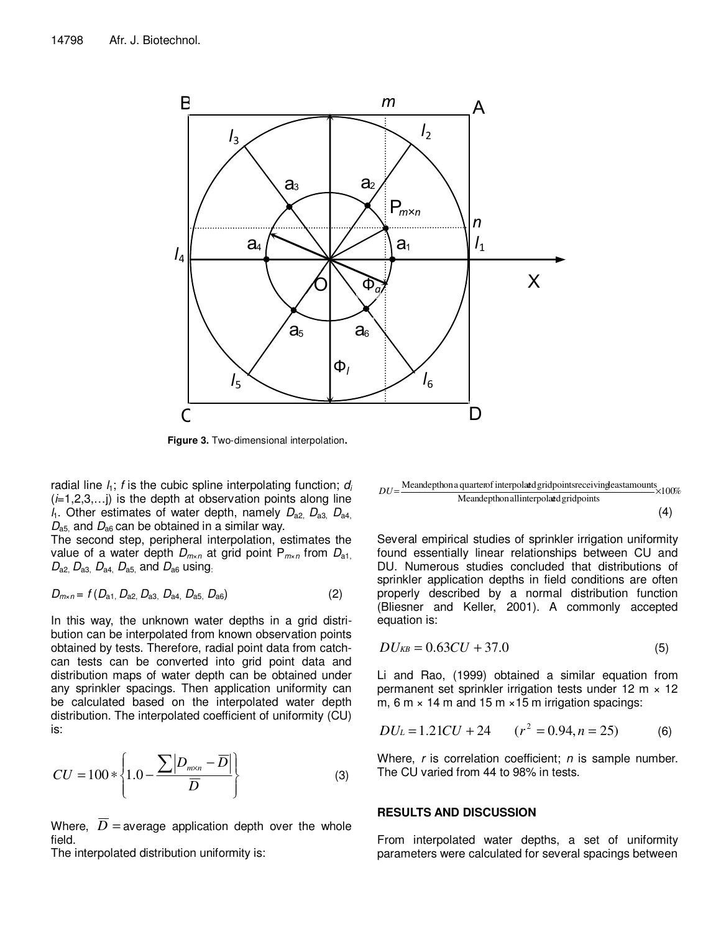

**Figure 3.** Two-dimensional interpolation**.** 

radial line  $l_1$ ; f is the cubic spline interpolating function;  $d_i$  $(i=1,2,3,...)$  is the depth at observation points along line  $l_1$ . Other estimates of water depth, namely  $D_{a2}$ ,  $D_{a3}$ ,  $D_{a4}$  $D_{\rm a5}$  and  $D_{\rm a6}$  can be obtained in a similar way.

The second step, peripheral interpolation, estimates the value of a water depth  $D_{m \times n}$  at grid point  $P_{m \times n}$  from  $D_{a1}$ ,  $D_{a2}$ ,  $D_{a3}$ ,  $D_{a4}$ ,  $D_{a5}$ , and  $D_{a6}$  using.

$$
D_{m \times n} = f(D_{a1}, D_{a2}, D_{a3}, D_{a4}, D_{a5}, D_{a6})
$$
 (2)

In this way, the unknown water depths in a grid distribution can be interpolated from known observation points obtained by tests. Therefore, radial point data from catchcan tests can be converted into grid point data and distribution maps of water depth can be obtained under any sprinkler spacings. Then application uniformity can be calculated based on the interpolated water depth distribution. The interpolated coefficient of uniformity (CU) is:

$$
CU = 100 * \left\{ 1.0 - \frac{\sum |D_{m \times n} - \overline{D}|}{\overline{D}} \right\}
$$
 (3)

Where,  $\overline{D}$  = average application depth over the whole field.

The interpolated distribution uniformity is:

 $DU = \frac{\text{Meandepthon a quarter of interpolated grid points receiving east amounts}}{100\%} \times 100\%$ Meandepthon all interpolated gridpoints

(4)

Several empirical studies of sprinkler irrigation uniformity found essentially linear relationships between CU and DU. Numerous studies concluded that distributions of sprinkler application depths in field conditions are often properly described by a normal distribution function (Bliesner and Keller, 2001). A commonly accepted equation is:

$$
DU_{KB} = 0.63CU + 37.0 \tag{5}
$$

Li and Rao, (1999) obtained a similar equation from permanent set sprinkler irrigation tests under 12 m  $\times$  12 m, 6 m  $\times$  14 m and 15 m  $\times$  15 m irrigation spacings:

$$
DU_{L} = 1.21CU + 24 \qquad (r^{2} = 0.94, n = 25) \tag{6}
$$

Where,  $r$  is correlation coefficient;  $n$  is sample number. The CU varied from 44 to 98% in tests.

#### **RESULTS AND DISCUSSION**

From interpolated water depths, a set of uniformity parameters were calculated for several spacings between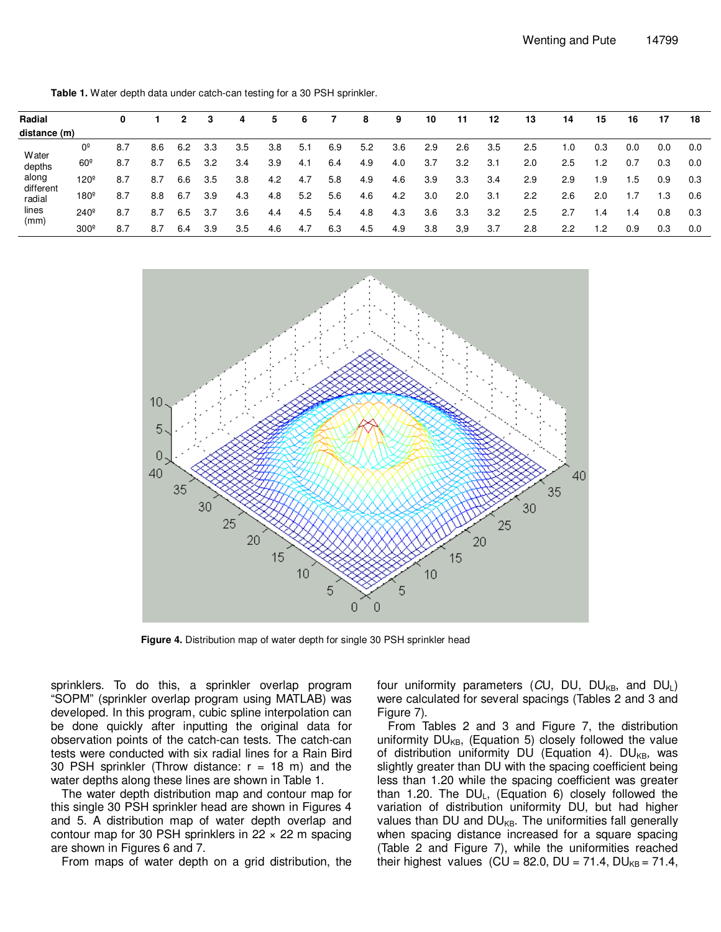| Radial                                                           |                  | 0   |     |     |     | 4   | 5   | 6   |     | 8   | 9   | 10  | 11  | 12  | 13  | 14  | 15   | 16              | 17  | 18  |
|------------------------------------------------------------------|------------------|-----|-----|-----|-----|-----|-----|-----|-----|-----|-----|-----|-----|-----|-----|-----|------|-----------------|-----|-----|
| distance (m)                                                     |                  |     |     |     |     |     |     |     |     |     |     |     |     |     |     |     |      |                 |     |     |
| Water<br>depths<br>along<br>different<br>radial<br>lines<br>(mm) | 0 <sup>5</sup>   | 8.7 | 8.6 | 6.2 | 3.3 | 3.5 | 3.8 | 5.1 | 6.9 | 5.2 | 3.6 | 2.9 | 2.6 | 3.5 | 2.5 | 1.0 | 0.3  | 0.0             | 0.0 | 0.0 |
|                                                                  | $60^\circ$       | 8.7 | 8.7 | 6.5 | 3.2 | 3.4 | 3.9 | 4.1 | 6.4 | 4.9 | 4.0 | 3.7 | 3.2 | 3.1 | 2.0 | 2.5 | .2   | 0.7             | 0.3 | 0.0 |
|                                                                  | $120^{\circ}$    | 8.7 | 8.7 | 6.6 | 3.5 | 3.8 | 4.2 | 4.7 | 5.8 | 4.9 | 4.6 | 3.9 | 3.3 | 3.4 | 2.9 | 2.9 | 1.9  | .5              | 0.9 | 0.3 |
|                                                                  | $180^\circ$      | 8.7 | 8.8 | 6.7 | 3.9 | 4.3 | 4.8 | 5.2 | 5.6 | 4.6 | 4.2 | 3.0 | 2.0 | 3.1 | 2.2 | 2.6 | 2.0  |                 | 1.3 | 0.6 |
|                                                                  | $240^\circ$      | 8.7 | 8.7 | 6.5 | 3.7 | 3.6 | 4.4 | 4.5 | 5.4 | 4.8 | 4.3 | 3.6 | 3.3 | 3.2 | 2.5 | 2.7 | . .4 | $\overline{.4}$ | 0.8 | 0.3 |
|                                                                  | 300 <sup>°</sup> | 8.7 | 8.7 | 6.4 | 3.9 | 3.5 | 4.6 | 4.7 | 6.3 | 4.5 | 4.9 | 3.8 | 3,9 | 3.7 | 2.8 | 2.2 | .2   | 0.9             | 0.3 | 0.0 |

**Table 1.** Water depth data under catch-can testing for a 30 PSH sprinkler.



**Figure 4.** Distribution map of water depth for single 30 PSH sprinkler head

sprinklers. To do this, a sprinkler overlap program "SOPM" (sprinkler overlap program using MATLAB) was developed. In this program, cubic spline interpolation can be done quickly after inputting the original data for observation points of the catch-can tests. The catch-can tests were conducted with six radial lines for a Rain Bird 30 PSH sprinkler (Throw distance:  $r = 18$  m) and the water depths along these lines are shown in Table 1.

The water depth distribution map and contour map for this single 30 PSH sprinkler head are shown in Figures 4 and 5. A distribution map of water depth overlap and contour map for 30 PSH sprinklers in  $22 \times 22$  m spacing are shown in Figures 6 and 7.

From maps of water depth on a grid distribution, the

four uniformity parameters (CU, DU, DU<sub>KB</sub>, and DU<sub>L</sub>) were calculated for several spacings (Tables 2 and 3 and Figure 7).

From Tables 2 and 3 and Figure 7, the distribution uniformity  $DU_{KB}$ , (Equation 5) closely followed the value of distribution uniformity DU (Equation 4). DU<sub>KB</sub>, was slightly greater than DU with the spacing coefficient being less than 1.20 while the spacing coefficient was greater than 1.20. The  $DU_L$ , (Equation 6) closely followed the variation of distribution uniformity DU, but had higher values than DU and  $DU_{KB}$ . The uniformities fall generally when spacing distance increased for a square spacing (Table 2 and Figure 7), while the uniformities reached their highest values (CU = 82.0, DU = 71.4, DU<sub>KB</sub> = 71.4,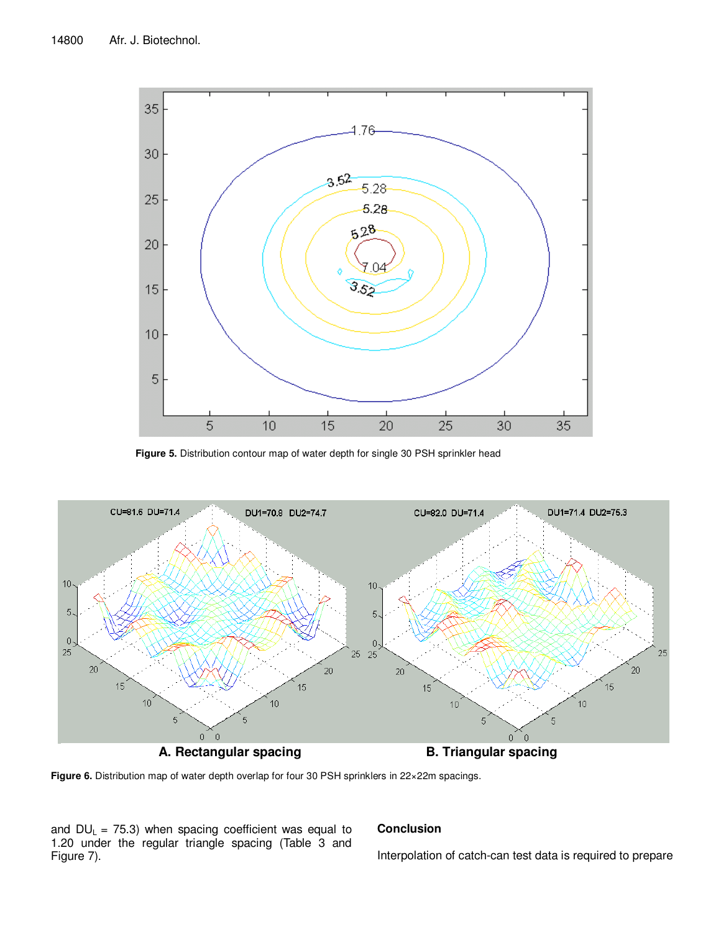

**Figure 5.** Distribution contour map of water depth for single 30 PSH sprinkler head



**Figure 6.** Distribution map of water depth overlap for four 30 PSH sprinklers in 22×22m spacings.

and  $DU_L$  = 75.3) when spacing coefficient was equal to 1.20 under the regular triangle spacing (Table 3 and Figure 7).

## **Conclusion**

Interpolation of catch-can test data is required to prepare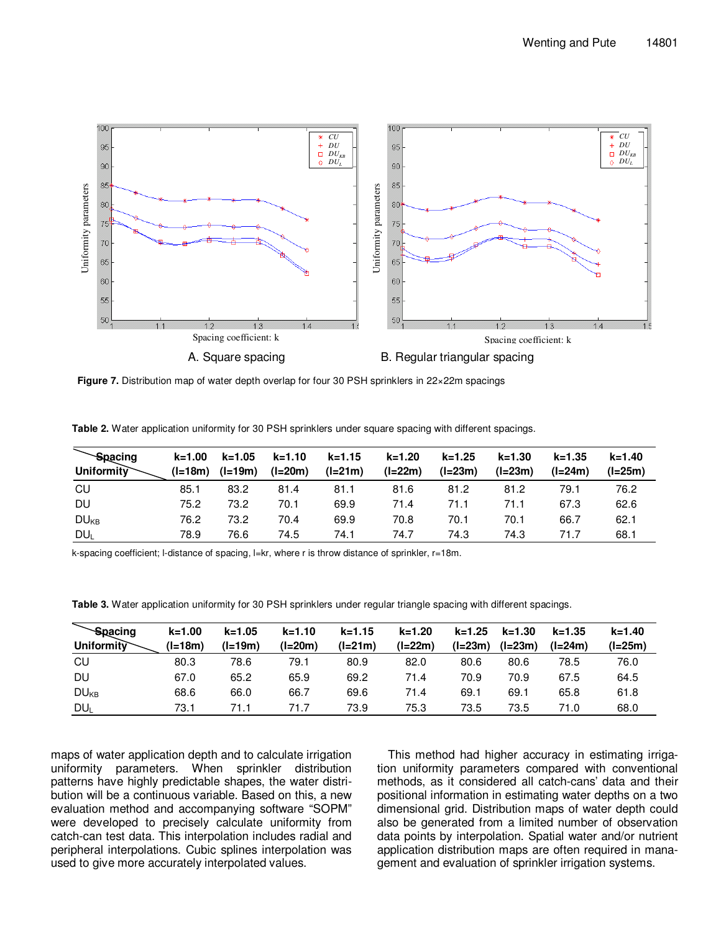

**Figure 7.** Distribution map of water depth overlap for four 30 PSH sprinklers in 22×22m spacings **Figure 7.** Distribution map of water depth overlap for four 30 PSH sprinklers in 22×22m spacings

**Table 2.** Water application uniformity for 30 PSH sprinklers under square spacing with different spacings.

| Spacing                 | $k = 1.00$ | $k = 1.05$ | $k = 1.10$ | $k = 1.15$ | k=1.20    | $k = 1.25$ | $k = 1.30$ | $k = 1.35$ | k=1.40  |
|-------------------------|------------|------------|------------|------------|-----------|------------|------------|------------|---------|
| Uniformity              | $(l=18m)$  | $(l=19m)$  | $(l=20m)$  | $(l=21m)$  | $(l=22m)$ | $(I=23m)$  | $(l=23m)$  | (I=24m)    | (l=25m) |
| CU                      | 85.1       | 83.2       | 81.4       | 81.1       | 81.6      | 81.2       | 81.2       | 79.1       | 76.2    |
| DU                      | 75.2       | 73.2       | 70.1       | 69.9       | 71.4      | 71.1       | 71.1       | 67.3       | 62.6    |
| <b>DU</b> <sub>KB</sub> | 76.2       | 73.2       | 70.4       | 69.9       | 70.8      | 70.1       | 70.1       | 66.7       | 62.1    |
| DU <sub>L</sub>         | 78.9       | 76.6       | 74.5       | 74.1       | 74.7      | 74.3       | 74.3       | 71.7       | 68.1    |

k-spacing coefficient; l-distance of spacing, l=kr, where r is throw distance of sprinkler, r=18m.

**Table 3.** Water application uniformity for 30 PSH sprinklers under regular triangle spacing with different spacings.

| <b>Spacing</b>   | $k = 1.00$ | $k = 1.05$ | $k = 1.10$ | $k = 1.15$ | $k = 1.20$ | $k = 1.25$ | $k = 1.30$ | $k = 1.35$ | $k = 1.40$ |
|------------------|------------|------------|------------|------------|------------|------------|------------|------------|------------|
| Uniformity       | $(l=18m)$  | $(l=19m)$  | $(l=20m)$  | (l=21m)    | $(l=22m)$  | (I=23m)    | $(I=23m)$  | $(l=24m)$  | $(l=25m)$  |
| CU               | 80.3       | 78.6       | 79.1       | 80.9       | 82.0       | 80.6       | 80.6       | 78.5       | 76.0       |
| DU               | 67.0       | 65.2       | 65.9       | 69.2       | 71.4       | 70.9       | 70.9       | 67.5       | 64.5       |
| DU <sub>KB</sub> | 68.6       | 66.0       | 66.7       | 69.6       | 71.4       | 69.1       | 69.1       | 65.8       | 61.8       |
| <b>DUL</b>       | 73.1       | 71.1       | 71.7       | 73.9       | 75.3       | 73.5       | 73.5       | 71.0       | 68.0       |

maps of water application depth and to calculate irrigation uniformity parameters. When sprinkler distribution patterns have highly predictable shapes, the water distribution will be a continuous variable. Based on this, a new evaluation method and accompanying software "SOPM" were developed to precisely calculate uniformity from catch-can test data. This interpolation includes radial and peripheral interpolations. Cubic splines interpolation was used to give more accurately interpolated values.

This method had higher accuracy in estimating irrigation uniformity parameters compared with conventional methods, as it considered all catch-cans' data and their positional information in estimating water depths on a two dimensional grid. Distribution maps of water depth could also be generated from a limited number of observation data points by interpolation. Spatial water and/or nutrient application distribution maps are often required in management and evaluation of sprinkler irrigation systems.